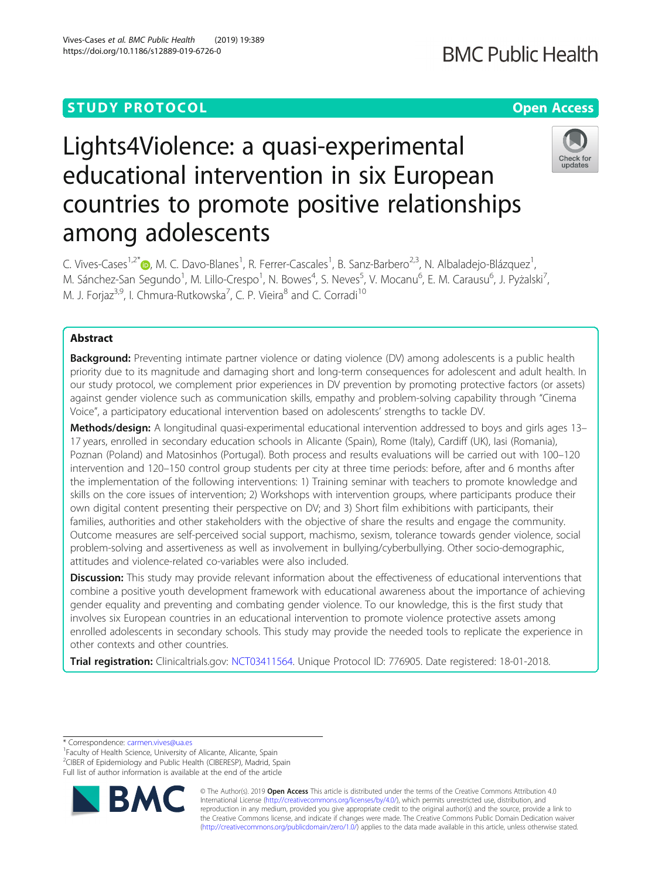**BMC Public Health** 

# Lights4Violence: a quasi-experimental educational intervention in six European countries to promote positive relationships among adolescents

Check for undates

C. Vives-Cases<sup>1,2[\\*](http://orcid.org/0000-0002-6797-5051)</sup>®, M. C. Davo-Blanes<sup>1</sup>, R. Ferrer-Cascales<sup>1</sup>, B. Sanz-Barbero<sup>2,3</sup>, N. Albaladejo-Blázquez<sup>1</sup> , M. Sánchez-San Segundo<sup>1</sup>, M. Lillo-Crespo<sup>1</sup>, N. Bowes<sup>4</sup>, S. Neves<sup>5</sup>, V. Mocanu<sup>6</sup>, E. M. Carausu<sup>6</sup>, J. Pyżalski<sup>7</sup> , M. J. Forjaz<sup>3,9</sup>, I. Chmura-Rutkowska<sup>7</sup>, C. P. Vieira<sup>8</sup> and C. Corradi<sup>10</sup>

# Abstract

**Background:** Preventing intimate partner violence or dating violence (DV) among adolescents is a public health priority due to its magnitude and damaging short and long-term consequences for adolescent and adult health. In our study protocol, we complement prior experiences in DV prevention by promoting protective factors (or assets) against gender violence such as communication skills, empathy and problem-solving capability through "Cinema Voice", a participatory educational intervention based on adolescents' strengths to tackle DV.

Methods/design: A longitudinal quasi-experimental educational intervention addressed to boys and girls ages 13– 17 years, enrolled in secondary education schools in Alicante (Spain), Rome (Italy), Cardiff (UK), Iasi (Romania), Poznan (Poland) and Matosinhos (Portugal). Both process and results evaluations will be carried out with 100–120 intervention and 120–150 control group students per city at three time periods: before, after and 6 months after the implementation of the following interventions: 1) Training seminar with teachers to promote knowledge and skills on the core issues of intervention; 2) Workshops with intervention groups, where participants produce their own digital content presenting their perspective on DV; and 3) Short film exhibitions with participants, their families, authorities and other stakeholders with the objective of share the results and engage the community. Outcome measures are self-perceived social support, machismo, sexism, tolerance towards gender violence, social problem-solving and assertiveness as well as involvement in bullying/cyberbullying. Other socio-demographic, attitudes and violence-related co-variables were also included.

**Discussion:** This study may provide relevant information about the effectiveness of educational interventions that combine a positive youth development framework with educational awareness about the importance of achieving gender equality and preventing and combating gender violence. To our knowledge, this is the first study that involves six European countries in an educational intervention to promote violence protective assets among enrolled adolescents in secondary schools. This study may provide the needed tools to replicate the experience in other contexts and other countries.

Trial registration: Clinicaltrials.gov: [NCT03411564](https://clinicaltrials.gov/). Unique Protocol ID: 776905. Date registered: 18-01-2018.

\* Correspondence: [carmen.vives@ua.es](mailto:carmen.vives@ua.es) <sup>1</sup>

<sup>1</sup> Faculty of Health Science, University of Alicante, Alicante, Spain <sup>2</sup>CIBER of Epidemiology and Public Health (CIBERESP), Madrid, Spain

Full list of author information is available at the end of the article



© The Author(s). 2019 **Open Access** This article is distributed under the terms of the Creative Commons Attribution 4.0 International License [\(http://creativecommons.org/licenses/by/4.0/](http://creativecommons.org/licenses/by/4.0/)), which permits unrestricted use, distribution, and reproduction in any medium, provided you give appropriate credit to the original author(s) and the source, provide a link to the Creative Commons license, and indicate if changes were made. The Creative Commons Public Domain Dedication waiver [\(http://creativecommons.org/publicdomain/zero/1.0/](http://creativecommons.org/publicdomain/zero/1.0/)) applies to the data made available in this article, unless otherwise stated.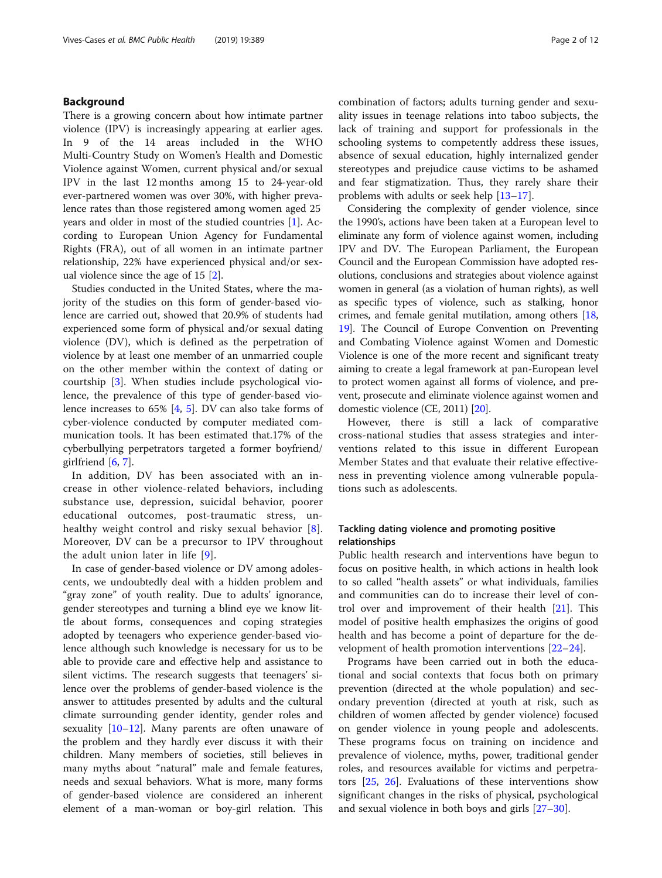# Background

There is a growing concern about how intimate partner violence (IPV) is increasingly appearing at earlier ages. In 9 of the 14 areas included in the WHO Multi-Country Study on Women's Health and Domestic Violence against Women, current physical and/or sexual IPV in the last 12 months among 15 to 24-year-old ever-partnered women was over 30%, with higher prevalence rates than those registered among women aged 25 years and older in most of the studied countries [\[1](#page-10-0)]. According to European Union Agency for Fundamental Rights (FRA), out of all women in an intimate partner relationship, 22% have experienced physical and/or sexual violence since the age of 15 [[2\]](#page-10-0).

Studies conducted in the United States, where the majority of the studies on this form of gender-based violence are carried out, showed that 20.9% of students had experienced some form of physical and/or sexual dating violence (DV), which is defined as the perpetration of violence by at least one member of an unmarried couple on the other member within the context of dating or courtship [\[3](#page-10-0)]. When studies include psychological violence, the prevalence of this type of gender-based violence increases to 65% [[4,](#page-10-0) [5](#page-10-0)]. DV can also take forms of cyber-violence conducted by computer mediated communication tools. It has been estimated that.17% of the cyberbullying perpetrators targeted a former boyfriend/ girlfriend  $[6, 7]$  $[6, 7]$  $[6, 7]$  $[6, 7]$ .

In addition, DV has been associated with an increase in other violence-related behaviors, including substance use, depression, suicidal behavior, poorer educational outcomes, post-traumatic stress, unhealthy weight control and risky sexual behavior  $[8]$  $[8]$  $[8]$ . Moreover, DV can be a precursor to IPV throughout the adult union later in life [[9](#page-10-0)].

In case of gender-based violence or DV among adolescents, we undoubtedly deal with a hidden problem and "gray zone" of youth reality. Due to adults' ignorance, gender stereotypes and turning a blind eye we know little about forms, consequences and coping strategies adopted by teenagers who experience gender-based violence although such knowledge is necessary for us to be able to provide care and effective help and assistance to silent victims. The research suggests that teenagers' silence over the problems of gender-based violence is the answer to attitudes presented by adults and the cultural climate surrounding gender identity, gender roles and sexuality  $[10-12]$  $[10-12]$  $[10-12]$ . Many parents are often unaware of the problem and they hardly ever discuss it with their children. Many members of societies, still believes in many myths about "natural" male and female features, needs and sexual behaviors. What is more, many forms of gender-based violence are considered an inherent element of a man-woman or boy-girl relation. This combination of factors; adults turning gender and sexuality issues in teenage relations into taboo subjects, the lack of training and support for professionals in the schooling systems to competently address these issues, absence of sexual education, highly internalized gender stereotypes and prejudice cause victims to be ashamed and fear stigmatization. Thus, they rarely share their problems with adults or seek help [[13](#page-10-0)–[17](#page-10-0)].

Considering the complexity of gender violence, since the 1990's, actions have been taken at a European level to eliminate any form of violence against women, including IPV and DV. The European Parliament, the European Council and the European Commission have adopted resolutions, conclusions and strategies about violence against women in general (as a violation of human rights), as well as specific types of violence, such as stalking, honor crimes, and female genital mutilation, among others [[18](#page-10-0), [19](#page-10-0)]. The Council of Europe Convention on Preventing and Combating Violence against Women and Domestic Violence is one of the more recent and significant treaty aiming to create a legal framework at pan-European level to protect women against all forms of violence, and prevent, prosecute and eliminate violence against women and domestic violence (CE, 2011) [\[20\]](#page-10-0).

However, there is still a lack of comparative cross-national studies that assess strategies and interventions related to this issue in different European Member States and that evaluate their relative effectiveness in preventing violence among vulnerable populations such as adolescents.

# Tackling dating violence and promoting positive relationships

Public health research and interventions have begun to focus on positive health, in which actions in health look to so called "health assets" or what individuals, families and communities can do to increase their level of control over and improvement of their health [[21\]](#page-10-0). This model of positive health emphasizes the origins of good health and has become a point of departure for the development of health promotion interventions [\[22](#page-10-0)–[24\]](#page-10-0).

Programs have been carried out in both the educational and social contexts that focus both on primary prevention (directed at the whole population) and secondary prevention (directed at youth at risk, such as children of women affected by gender violence) focused on gender violence in young people and adolescents. These programs focus on training on incidence and prevalence of violence, myths, power, traditional gender roles, and resources available for victims and perpetrators [[25,](#page-10-0) [26](#page-10-0)]. Evaluations of these interventions show significant changes in the risks of physical, psychological and sexual violence in both boys and girls [\[27](#page-10-0)–[30](#page-11-0)].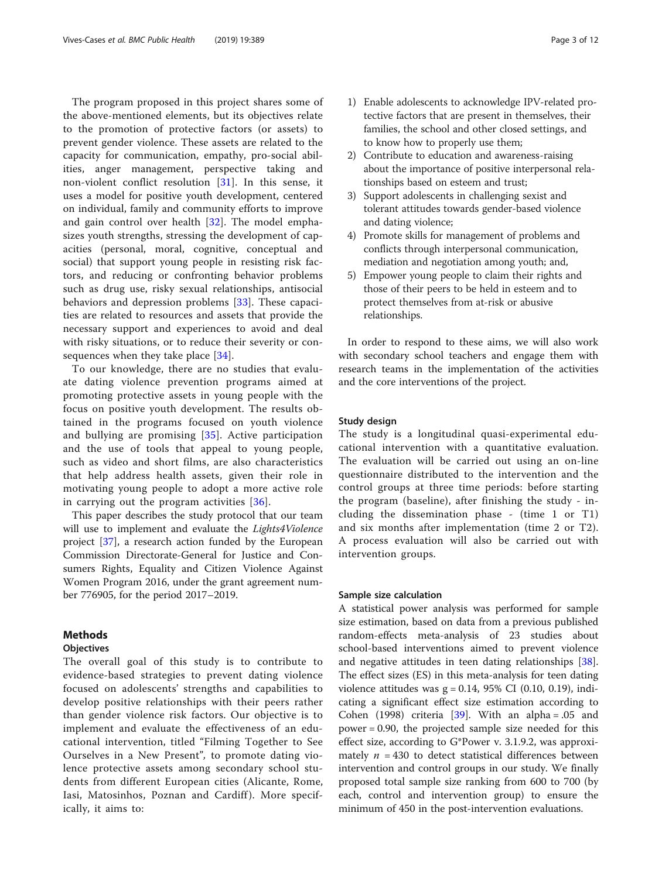The program proposed in this project shares some of the above-mentioned elements, but its objectives relate to the promotion of protective factors (or assets) to prevent gender violence. These assets are related to the capacity for communication, empathy, pro-social abilities, anger management, perspective taking and non-violent conflict resolution [\[31](#page-11-0)]. In this sense, it uses a model for positive youth development, centered on individual, family and community efforts to improve and gain control over health [\[32](#page-11-0)]. The model emphasizes youth strengths, stressing the development of capacities (personal, moral, cognitive, conceptual and social) that support young people in resisting risk factors, and reducing or confronting behavior problems such as drug use, risky sexual relationships, antisocial behaviors and depression problems [\[33](#page-11-0)]. These capacities are related to resources and assets that provide the necessary support and experiences to avoid and deal with risky situations, or to reduce their severity or con-sequences when they take place [\[34](#page-11-0)].

To our knowledge, there are no studies that evaluate dating violence prevention programs aimed at promoting protective assets in young people with the focus on positive youth development. The results obtained in the programs focused on youth violence and bullying are promising [\[35](#page-11-0)]. Active participation and the use of tools that appeal to young people, such as video and short films, are also characteristics that help address health assets, given their role in motivating young people to adopt a more active role in carrying out the program activities [[36](#page-11-0)].

This paper describes the study protocol that our team will use to implement and evaluate the *Lights4Violence* project [[37](#page-11-0)], a research action funded by the European Commission Directorate-General for Justice and Consumers Rights, Equality and Citizen Violence Against Women Program 2016, under the grant agreement number 776905, for the period 2017–2019.

# Methods

# **Objectives**

The overall goal of this study is to contribute to evidence-based strategies to prevent dating violence focused on adolescents' strengths and capabilities to develop positive relationships with their peers rather than gender violence risk factors. Our objective is to implement and evaluate the effectiveness of an educational intervention, titled "Filming Together to See Ourselves in a New Present", to promote dating violence protective assets among secondary school students from different European cities (Alicante, Rome, Iasi, Matosinhos, Poznan and Cardiff). More specifically, it aims to:

- 1) Enable adolescents to acknowledge IPV-related protective factors that are present in themselves, their families, the school and other closed settings, and to know how to properly use them;
- 2) Contribute to education and awareness-raising about the importance of positive interpersonal relationships based on esteem and trust;
- 3) Support adolescents in challenging sexist and tolerant attitudes towards gender-based violence and dating violence;
- 4) Promote skills for management of problems and conflicts through interpersonal communication, mediation and negotiation among youth; and,
- 5) Empower young people to claim their rights and those of their peers to be held in esteem and to protect themselves from at-risk or abusive relationships.

In order to respond to these aims, we will also work with secondary school teachers and engage them with research teams in the implementation of the activities and the core interventions of the project.

#### Study design

The study is a longitudinal quasi-experimental educational intervention with a quantitative evaluation. The evaluation will be carried out using an on-line questionnaire distributed to the intervention and the control groups at three time periods: before starting the program (baseline), after finishing the study - including the dissemination phase - (time 1 or T1) and six months after implementation (time 2 or T2). A process evaluation will also be carried out with intervention groups.

# Sample size calculation

A statistical power analysis was performed for sample size estimation, based on data from a previous published random-effects meta-analysis of 23 studies about school-based interventions aimed to prevent violence and negative attitudes in teen dating relationships [\[38](#page-11-0)]. The effect sizes (ES) in this meta-analysis for teen dating violence attitudes was  $g = 0.14$ , 95% CI (0.10, 0.19), indicating a significant effect size estimation according to Cohen (1998) criteria [[39\]](#page-11-0). With an alpha =  $.05$  and power = 0.90, the projected sample size needed for this effect size, according to G\*Power v. 3.1.9.2, was approximately  $n = 430$  to detect statistical differences between intervention and control groups in our study. We finally proposed total sample size ranking from 600 to 700 (by each, control and intervention group) to ensure the minimum of 450 in the post-intervention evaluations.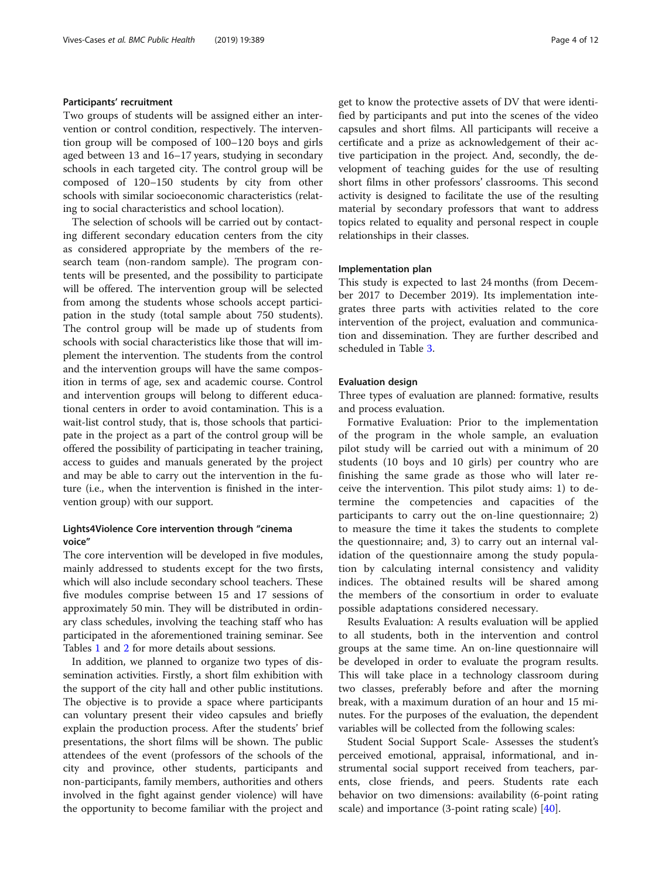#### Participants' recruitment

Two groups of students will be assigned either an intervention or control condition, respectively. The intervention group will be composed of 100–120 boys and girls aged between 13 and 16–17 years, studying in secondary schools in each targeted city. The control group will be composed of 120–150 students by city from other schools with similar socioeconomic characteristics (relating to social characteristics and school location).

The selection of schools will be carried out by contacting different secondary education centers from the city as considered appropriate by the members of the research team (non-random sample). The program contents will be presented, and the possibility to participate will be offered. The intervention group will be selected from among the students whose schools accept participation in the study (total sample about 750 students). The control group will be made up of students from schools with social characteristics like those that will implement the intervention. The students from the control and the intervention groups will have the same composition in terms of age, sex and academic course. Control and intervention groups will belong to different educational centers in order to avoid contamination. This is a wait-list control study, that is, those schools that participate in the project as a part of the control group will be offered the possibility of participating in teacher training, access to guides and manuals generated by the project and may be able to carry out the intervention in the future (i.e., when the intervention is finished in the intervention group) with our support.

# Lights4Violence Core intervention through "cinema voice"

The core intervention will be developed in five modules, mainly addressed to students except for the two firsts, which will also include secondary school teachers. These five modules comprise between 15 and 17 sessions of approximately 50 min. They will be distributed in ordinary class schedules, involving the teaching staff who has participated in the aforementioned training seminar. See Tables [1](#page-4-0) and [2](#page-5-0) for more details about sessions.

In addition, we planned to organize two types of dissemination activities. Firstly, a short film exhibition with the support of the city hall and other public institutions. The objective is to provide a space where participants can voluntary present their video capsules and briefly explain the production process. After the students' brief presentations, the short films will be shown. The public attendees of the event (professors of the schools of the city and province, other students, participants and non-participants, family members, authorities and others involved in the fight against gender violence) will have the opportunity to become familiar with the project and get to know the protective assets of DV that were identified by participants and put into the scenes of the video capsules and short films. All participants will receive a certificate and a prize as acknowledgement of their active participation in the project. And, secondly, the development of teaching guides for the use of resulting short films in other professors' classrooms. This second activity is designed to facilitate the use of the resulting material by secondary professors that want to address topics related to equality and personal respect in couple relationships in their classes.

# Implementation plan

This study is expected to last 24 months (from December 2017 to December 2019). Its implementation integrates three parts with activities related to the core intervention of the project, evaluation and communication and dissemination. They are further described and scheduled in Table [3](#page-5-0).

# Evaluation design

Three types of evaluation are planned: formative, results and process evaluation.

Formative Evaluation: Prior to the implementation of the program in the whole sample, an evaluation pilot study will be carried out with a minimum of 20 students (10 boys and 10 girls) per country who are finishing the same grade as those who will later receive the intervention. This pilot study aims: 1) to determine the competencies and capacities of the participants to carry out the on-line questionnaire; 2) to measure the time it takes the students to complete the questionnaire; and, 3) to carry out an internal validation of the questionnaire among the study population by calculating internal consistency and validity indices. The obtained results will be shared among the members of the consortium in order to evaluate possible adaptations considered necessary.

Results Evaluation: A results evaluation will be applied to all students, both in the intervention and control groups at the same time. An on-line questionnaire will be developed in order to evaluate the program results. This will take place in a technology classroom during two classes, preferably before and after the morning break, with a maximum duration of an hour and 15 minutes. For the purposes of the evaluation, the dependent variables will be collected from the following scales:

Student Social Support Scale- Assesses the student's perceived emotional, appraisal, informational, and instrumental social support received from teachers, parents, close friends, and peers. Students rate each behavior on two dimensions: availability (6-point rating scale) and importance  $(3$ -point rating scale)  $[40]$  $[40]$  $[40]$ .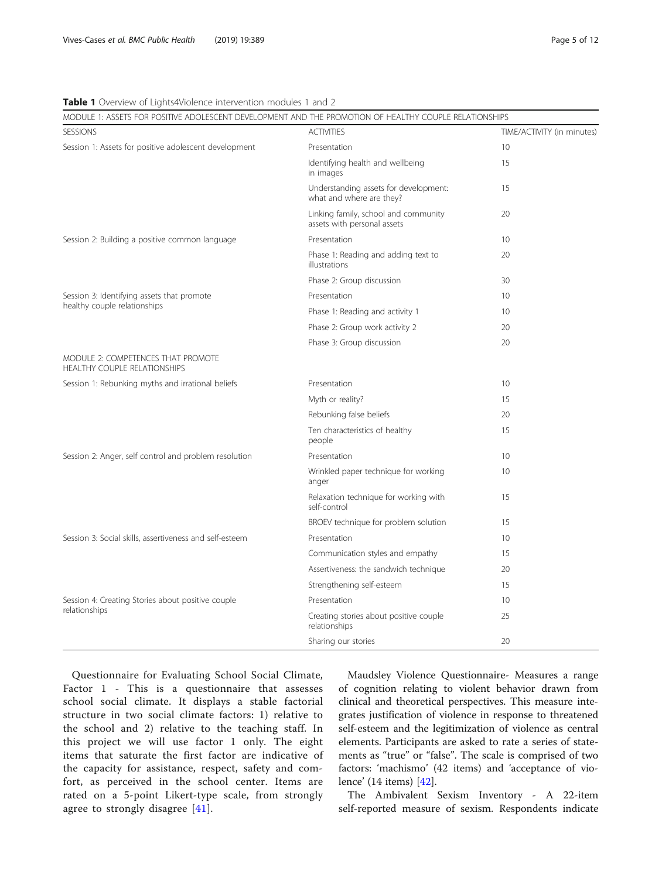# <span id="page-4-0"></span>Table 1 Overview of Lights4Violence intervention modules 1 and 2

| MODULE 1: ASSETS FOR POSITIVE ADOLESCENT DEVELOPMENT AND THE PROMOTION OF HEALTHY COUPLE RELATIONSHIPS |                                                                     |                            |  |  |  |  |  |
|--------------------------------------------------------------------------------------------------------|---------------------------------------------------------------------|----------------------------|--|--|--|--|--|
| <b>SESSIONS</b>                                                                                        | <b>ACTIVITIES</b>                                                   | TIME/ACTIVITY (in minutes) |  |  |  |  |  |
| Session 1: Assets for positive adolescent development                                                  | Presentation                                                        | 10                         |  |  |  |  |  |
|                                                                                                        | Identifying health and wellbeing<br>in images                       | 15                         |  |  |  |  |  |
|                                                                                                        | Understanding assets for development:<br>what and where are they?   | 15                         |  |  |  |  |  |
|                                                                                                        | Linking family, school and community<br>assets with personal assets | 20                         |  |  |  |  |  |
| Session 2: Building a positive common language                                                         | Presentation                                                        | 10                         |  |  |  |  |  |
|                                                                                                        | Phase 1: Reading and adding text to<br>illustrations                | 20                         |  |  |  |  |  |
|                                                                                                        | Phase 2: Group discussion                                           | 30                         |  |  |  |  |  |
| Session 3: Identifying assets that promote                                                             | Presentation                                                        | 10 <sup>°</sup>            |  |  |  |  |  |
| healthy couple relationships                                                                           | Phase 1: Reading and activity 1                                     | 10 <sup>°</sup>            |  |  |  |  |  |
|                                                                                                        | Phase 2: Group work activity 2                                      | 20                         |  |  |  |  |  |
|                                                                                                        | Phase 3: Group discussion                                           | 20                         |  |  |  |  |  |
| MODULE 2: COMPETENCES THAT PROMOTE<br>HEALTHY COUPLE RELATIONSHIPS                                     |                                                                     |                            |  |  |  |  |  |
| Session 1: Rebunking myths and irrational beliefs                                                      | Presentation                                                        | 10 <sup>°</sup>            |  |  |  |  |  |
|                                                                                                        | Myth or reality?                                                    | 15                         |  |  |  |  |  |
|                                                                                                        | Rebunking false beliefs                                             | 20                         |  |  |  |  |  |
|                                                                                                        | Ten characteristics of healthy<br>people                            | 15                         |  |  |  |  |  |
| Session 2: Anger, self control and problem resolution                                                  | Presentation                                                        | 10 <sup>2</sup>            |  |  |  |  |  |
|                                                                                                        | Wrinkled paper technique for working<br>anger                       | 10 <sup>2</sup>            |  |  |  |  |  |
|                                                                                                        | Relaxation technique for working with<br>self-control               | 15                         |  |  |  |  |  |
|                                                                                                        | BROEV technique for problem solution                                | 15                         |  |  |  |  |  |
| Session 3: Social skills, assertiveness and self-esteem                                                | Presentation                                                        | 10 <sup>°</sup>            |  |  |  |  |  |
|                                                                                                        | Communication styles and empathy                                    | 15                         |  |  |  |  |  |
|                                                                                                        | Assertiveness: the sandwich technique                               | 20                         |  |  |  |  |  |
|                                                                                                        | Strengthening self-esteem                                           | 15                         |  |  |  |  |  |
| Session 4: Creating Stories about positive couple                                                      | Presentation                                                        | 10 <sup>°</sup>            |  |  |  |  |  |
| relationships                                                                                          | Creating stories about positive couple<br>relationships             | 25                         |  |  |  |  |  |
|                                                                                                        | Sharing our stories                                                 | 20                         |  |  |  |  |  |

Questionnaire for Evaluating School Social Climate, Factor 1 - This is a questionnaire that assesses school social climate. It displays a stable factorial structure in two social climate factors: 1) relative to the school and 2) relative to the teaching staff. In this project we will use factor 1 only. The eight items that saturate the first factor are indicative of the capacity for assistance, respect, safety and comfort, as perceived in the school center. Items are rated on a 5-point Likert-type scale, from strongly agree to strongly disagree [[41](#page-11-0)].

Maudsley Violence Questionnaire- Measures a range of cognition relating to violent behavior drawn from clinical and theoretical perspectives. This measure integrates justification of violence in response to threatened self-esteem and the legitimization of violence as central elements. Participants are asked to rate a series of statements as "true" or "false". The scale is comprised of two factors: 'machismo' (42 items) and 'acceptance of violence' (14 items) [\[42\]](#page-11-0).

The Ambivalent Sexism Inventory - A 22-item self-reported measure of sexism. Respondents indicate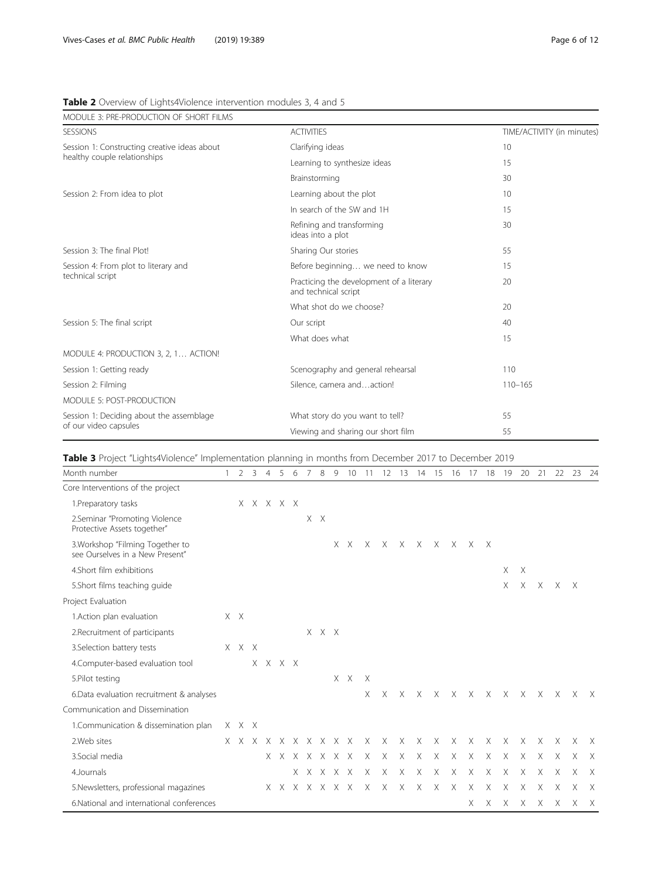| MODULE 3: PRE-PRODUCTION OF SHORT FILMS                                      |                                                                  |                            |  |  |  |  |
|------------------------------------------------------------------------------|------------------------------------------------------------------|----------------------------|--|--|--|--|
| <b>SESSIONS</b>                                                              | <b>ACTIVITIES</b>                                                | TIME/ACTIVITY (in minutes) |  |  |  |  |
| Session 1: Constructing creative ideas about<br>healthy couple relationships | Clarifying ideas                                                 | 10                         |  |  |  |  |
|                                                                              | Learning to synthesize ideas                                     | 15                         |  |  |  |  |
|                                                                              | Brainstorming                                                    | 30                         |  |  |  |  |
| Session 2: From idea to plot                                                 | Learning about the plot                                          | 10                         |  |  |  |  |
|                                                                              | In search of the SW and 1H                                       | 15                         |  |  |  |  |
|                                                                              | Refining and transforming<br>ideas into a plot                   | 30                         |  |  |  |  |
| Session 3: The final Plot!                                                   | Sharing Our stories                                              | 55                         |  |  |  |  |
| Session 4: From plot to literary and<br>technical script                     | Before beginning we need to know                                 | 15                         |  |  |  |  |
|                                                                              | Practicing the development of a literary<br>and technical script | 20                         |  |  |  |  |
|                                                                              | What shot do we choose?                                          | 20                         |  |  |  |  |
| Session 5: The final script                                                  | Our script                                                       | 40                         |  |  |  |  |
|                                                                              | What does what                                                   | 15                         |  |  |  |  |
| MODULE 4: PRODUCTION 3, 2, 1 ACTION!                                         |                                                                  |                            |  |  |  |  |
| Session 1: Getting ready                                                     | Scenography and general rehearsal                                | 110                        |  |  |  |  |
| Session 2: Filming                                                           | Silence, camera andaction!                                       | $110 - 165$                |  |  |  |  |
| MODULE 5: POST-PRODUCTION                                                    |                                                                  |                            |  |  |  |  |
| Session 1: Deciding about the assemblage                                     | What story do you want to tell?                                  | 55                         |  |  |  |  |
| of our video capsules                                                        | Viewing and sharing our short film                               | 55                         |  |  |  |  |

<span id="page-5-0"></span>Table 2 Overview of Lights4Violence intervention modules 3, 4 and 5

Table 3 Project "Lights4Violence" Implementation planning in months from December 2017 to December 2019

| Month number                                                        | $\mathcal{L}$ |                     |          |    |       |       | 9                   | 10      |          |          | 13       | 14       | 15           | 16       | $\frac{1}{2}$             | 18           | 19       | 20       | 21       | 22       | 23       | 24           |
|---------------------------------------------------------------------|---------------|---------------------|----------|----|-------|-------|---------------------|---------|----------|----------|----------|----------|--------------|----------|---------------------------|--------------|----------|----------|----------|----------|----------|--------------|
| Core Interventions of the project                                   |               |                     |          |    |       |       |                     |         |          |          |          |          |              |          |                           |              |          |          |          |          |          |              |
| 1. Preparatory tasks                                                |               | $X$ $X$ $X$ $X$ $X$ |          |    |       |       |                     |         |          |          |          |          |              |          |                           |              |          |          |          |          |          |              |
| 2.Seminar "Promoting Violence<br>Protective Assets together"        |               |                     |          |    |       | X X   |                     |         |          |          |          |          |              |          |                           |              |          |          |          |          |          |              |
| 3. Workshop "Filming Together to<br>see Ourselves in a New Present" |               |                     |          |    |       |       |                     | $X$ $X$ | X        | X        | $\times$ | $\times$ | $\mathsf{X}$ | $\times$ | X.                        | $\mathsf{X}$ |          |          |          |          |          |              |
| 4. Short film exhibitions                                           |               |                     |          |    |       |       |                     |         |          |          |          |          |              |          |                           |              | X        | $\times$ |          |          |          |              |
| 5. Short films teaching guide                                       |               |                     |          |    |       |       |                     |         |          |          |          |          |              |          |                           |              | X        | $\times$ | $\times$ | X        | $\times$ |              |
| Project Evaluation                                                  |               |                     |          |    |       |       |                     |         |          |          |          |          |              |          |                           |              |          |          |          |          |          |              |
| 1.Action plan evaluation                                            | $X \times$    |                     |          |    |       |       |                     |         |          |          |          |          |              |          |                           |              |          |          |          |          |          |              |
| 2. Recruitment of participants                                      |               |                     |          |    |       | X X X |                     |         |          |          |          |          |              |          |                           |              |          |          |          |          |          |              |
| 3.Selection battery tests                                           | X X X         |                     |          |    |       |       |                     |         |          |          |          |          |              |          |                           |              |          |          |          |          |          |              |
| 4. Computer-based evaluation tool                                   |               |                     | X X X X  |    |       |       |                     |         |          |          |          |          |              |          |                           |              |          |          |          |          |          |              |
| 5. Pilot testing                                                    |               |                     |          |    |       |       |                     | $X$ $X$ | $\times$ |          |          |          |              |          |                           |              |          |          |          |          |          |              |
| 6. Data evaluation recruitment & analyses                           |               |                     |          |    |       |       |                     |         | X        | X        | $\times$ | X        | $\times$     | $\times$ | $\times$                  | $\times$     | $\times$ | $\times$ | $\times$ | $\times$ | X        | $\mathsf{X}$ |
| Communication and Dissemination                                     |               |                     |          |    |       |       |                     |         |          |          |          |          |              |          |                           |              |          |          |          |          |          |              |
| 1. Communication & dissemination plan                               | X X X         |                     |          |    |       |       |                     |         |          |          |          |          |              |          |                           |              |          |          |          |          |          |              |
| 2. Web sites                                                        | X X X         |                     | $\times$ | X. |       |       | $X$ $X$ $X$ $X$ $X$ |         | $\times$ | $\times$ | $\times$ | $\times$ | $\times$     | $\times$ | $\times$                  | $\times$     | $\times$ | $\times$ | $\times$ | $\times$ | Χ        | X            |
| 3.Social media                                                      |               |                     |          | XX | X.    |       | x x x x             |         | $\times$ | X        | $\times$ | X        | $\times$     | Χ        | $\times$                  | X            | X        | X        | X        | $\times$ | Χ        | X            |
| 4.Journals                                                          |               |                     |          |    | X.    |       | X X X X             |         | $\times$ | $\times$ | $\times$ | $\times$ | $\times$     | $\times$ | $\times$                  | $\times$     | X        | X        | X        | $\times$ | X        | $\mathsf{X}$ |
| 5.Newsletters, professional magazines                               |               |                     |          | XX | $X -$ |       | X X X X             |         | $\times$ | X        | X        | $\times$ | $\times$     | $\times$ | $\boldsymbol{\mathsf{X}}$ | Χ            | $\times$ | X        | X        | X        | Χ        | $\mathsf{X}$ |
| 6. National and international conferences                           |               |                     |          |    |       |       |                     |         |          |          |          |          |              |          | X.                        | $\times$     | X X      |          | $\times$ | $\times$ | X        | $\mathsf{X}$ |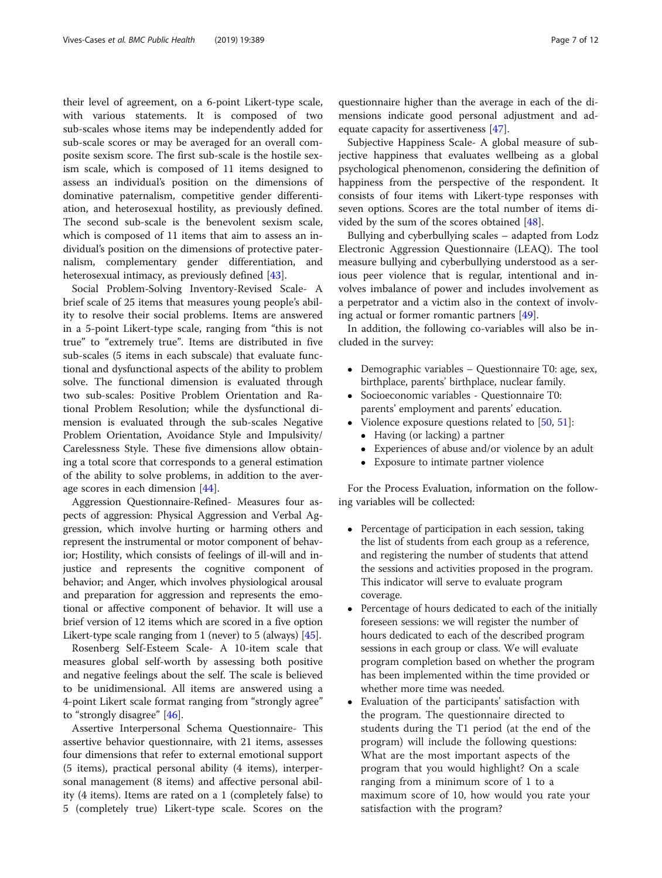their level of agreement, on a 6-point Likert-type scale, with various statements. It is composed of two sub-scales whose items may be independently added for sub-scale scores or may be averaged for an overall composite sexism score. The first sub-scale is the hostile sexism scale, which is composed of 11 items designed to assess an individual's position on the dimensions of dominative paternalism, competitive gender differentiation, and heterosexual hostility, as previously defined. The second sub-scale is the benevolent sexism scale, which is composed of 11 items that aim to assess an individual's position on the dimensions of protective paternalism, complementary gender differentiation, and heterosexual intimacy, as previously defined [\[43\]](#page-11-0).

Social Problem-Solving Inventory-Revised Scale- A brief scale of 25 items that measures young people's ability to resolve their social problems. Items are answered in a 5-point Likert-type scale, ranging from "this is not true" to "extremely true". Items are distributed in five sub-scales (5 items in each subscale) that evaluate functional and dysfunctional aspects of the ability to problem solve. The functional dimension is evaluated through two sub-scales: Positive Problem Orientation and Rational Problem Resolution; while the dysfunctional dimension is evaluated through the sub-scales Negative Problem Orientation, Avoidance Style and Impulsivity/ Carelessness Style. These five dimensions allow obtaining a total score that corresponds to a general estimation of the ability to solve problems, in addition to the average scores in each dimension [\[44](#page-11-0)].

Aggression Questionnaire-Refined- Measures four aspects of aggression: Physical Aggression and Verbal Aggression, which involve hurting or harming others and represent the instrumental or motor component of behavior; Hostility, which consists of feelings of ill-will and injustice and represents the cognitive component of behavior; and Anger, which involves physiological arousal and preparation for aggression and represents the emotional or affective component of behavior. It will use a brief version of 12 items which are scored in a five option Likert-type scale ranging from 1 (never) to 5 (always) [\[45\]](#page-11-0).

Rosenberg Self-Esteem Scale- A 10-item scale that measures global self-worth by assessing both positive and negative feelings about the self. The scale is believed to be unidimensional. All items are answered using a 4-point Likert scale format ranging from "strongly agree" to "strongly disagree" [\[46\]](#page-11-0).

Assertive Interpersonal Schema Questionnaire- This assertive behavior questionnaire, with 21 items, assesses four dimensions that refer to external emotional support (5 items), practical personal ability (4 items), interpersonal management (8 items) and affective personal ability (4 items). Items are rated on a 1 (completely false) to 5 (completely true) Likert-type scale. Scores on the

questionnaire higher than the average in each of the dimensions indicate good personal adjustment and adequate capacity for assertiveness [\[47](#page-11-0)].

Subjective Happiness Scale- A global measure of subjective happiness that evaluates wellbeing as a global psychological phenomenon, considering the definition of happiness from the perspective of the respondent. It consists of four items with Likert-type responses with seven options. Scores are the total number of items divided by the sum of the scores obtained [\[48](#page-11-0)].

Bullying and cyberbullying scales – adapted from Lodz Electronic Aggression Questionnaire (LEAQ). The tool measure bullying and cyberbullying understood as a serious peer violence that is regular, intentional and involves imbalance of power and includes involvement as a perpetrator and a victim also in the context of involving actual or former romantic partners [[49\]](#page-11-0).

In addition, the following co-variables will also be included in the survey:

- Demographic variables Questionnaire T0: age, sex, birthplace, parents' birthplace, nuclear family.
- Socioeconomic variables Questionnaire T0: parents' employment and parents' education.
- Violence exposure questions related to  $[50, 51]$  $[50, 51]$  $[50, 51]$  $[50, 51]$  $[50, 51]$ :
	- Having (or lacking) a partner
	- Experiences of abuse and/or violence by an adult
	- Exposure to intimate partner violence

For the Process Evaluation, information on the following variables will be collected:

- Percentage of participation in each session, taking the list of students from each group as a reference, and registering the number of students that attend the sessions and activities proposed in the program. This indicator will serve to evaluate program coverage.
- Percentage of hours dedicated to each of the initially foreseen sessions: we will register the number of hours dedicated to each of the described program sessions in each group or class. We will evaluate program completion based on whether the program has been implemented within the time provided or whether more time was needed.
- Evaluation of the participants' satisfaction with the program. The questionnaire directed to students during the T1 period (at the end of the program) will include the following questions: What are the most important aspects of the program that you would highlight? On a scale ranging from a minimum score of 1 to a maximum score of 10, how would you rate your satisfaction with the program?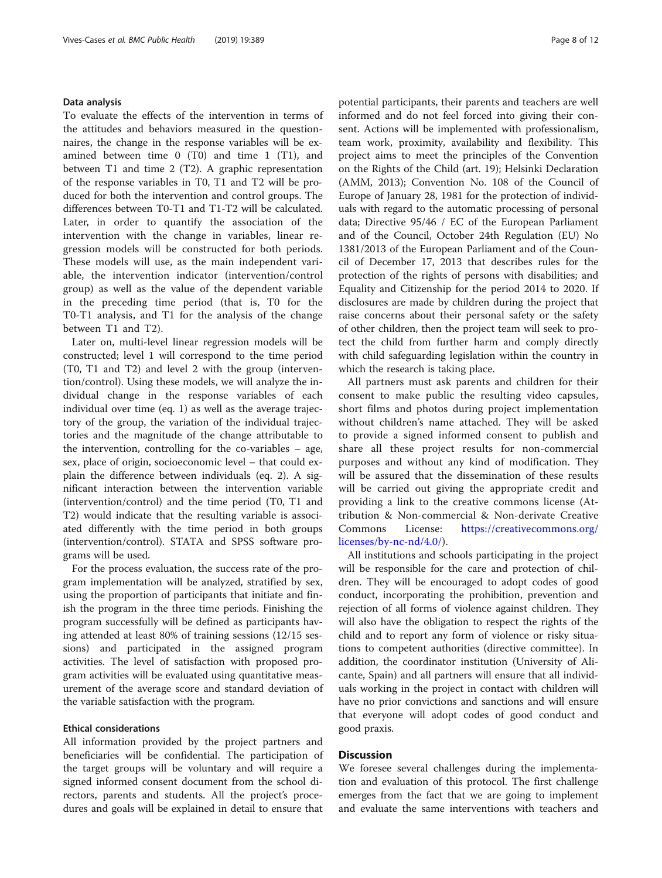# Data analysis

To evaluate the effects of the intervention in terms of the attitudes and behaviors measured in the questionnaires, the change in the response variables will be examined between time 0 (T0) and time 1 (T1), and between T1 and time 2 (T2). A graphic representation of the response variables in T0, T1 and T2 will be produced for both the intervention and control groups. The differences between T0-T1 and T1-T2 will be calculated. Later, in order to quantify the association of the intervention with the change in variables, linear regression models will be constructed for both periods. These models will use, as the main independent variable, the intervention indicator (intervention/control group) as well as the value of the dependent variable in the preceding time period (that is, T0 for the T0-T1 analysis, and T1 for the analysis of the change between T1 and T2).

Later on, multi-level linear regression models will be constructed; level 1 will correspond to the time period (T0, T1 and T2) and level 2 with the group (intervention/control). Using these models, we will analyze the individual change in the response variables of each individual over time (eq. 1) as well as the average trajectory of the group, the variation of the individual trajectories and the magnitude of the change attributable to the intervention, controlling for the co-variables – age, sex, place of origin, socioeconomic level – that could explain the difference between individuals (eq. 2). A significant interaction between the intervention variable (intervention/control) and the time period (T0, T1 and T2) would indicate that the resulting variable is associated differently with the time period in both groups (intervention/control). STATA and SPSS software programs will be used.

For the process evaluation, the success rate of the program implementation will be analyzed, stratified by sex, using the proportion of participants that initiate and finish the program in the three time periods. Finishing the program successfully will be defined as participants having attended at least 80% of training sessions (12/15 sessions) and participated in the assigned program activities. The level of satisfaction with proposed program activities will be evaluated using quantitative measurement of the average score and standard deviation of the variable satisfaction with the program.

### Ethical considerations

All information provided by the project partners and beneficiaries will be confidential. The participation of the target groups will be voluntary and will require a signed informed consent document from the school directors, parents and students. All the project's procedures and goals will be explained in detail to ensure that potential participants, their parents and teachers are well informed and do not feel forced into giving their consent. Actions will be implemented with professionalism, team work, proximity, availability and flexibility. This project aims to meet the principles of the Convention on the Rights of the Child (art. 19); Helsinki Declaration (AMM, 2013); Convention No. 108 of the Council of Europe of January 28, 1981 for the protection of individuals with regard to the automatic processing of personal data; Directive 95/46 / EC of the European Parliament and of the Council, October 24th Regulation (EU) No 1381/2013 of the European Parliament and of the Council of December 17, 2013 that describes rules for the protection of the rights of persons with disabilities; and Equality and Citizenship for the period 2014 to 2020. If disclosures are made by children during the project that raise concerns about their personal safety or the safety of other children, then the project team will seek to protect the child from further harm and comply directly with child safeguarding legislation within the country in which the research is taking place.

All partners must ask parents and children for their consent to make public the resulting video capsules, short films and photos during project implementation without children's name attached. They will be asked to provide a signed informed consent to publish and share all these project results for non-commercial purposes and without any kind of modification. They will be assured that the dissemination of these results will be carried out giving the appropriate credit and providing a link to the creative commons license (Attribution & Non-commercial & Non-derivate Creative Commons License: [https://creativecommons.org/](https://creativecommons.org/licenses/by-nc-nd/4.0/) [licenses/by-nc-nd/4.0/\)](https://creativecommons.org/licenses/by-nc-nd/4.0/).

All institutions and schools participating in the project will be responsible for the care and protection of children. They will be encouraged to adopt codes of good conduct, incorporating the prohibition, prevention and rejection of all forms of violence against children. They will also have the obligation to respect the rights of the child and to report any form of violence or risky situations to competent authorities (directive committee). In addition, the coordinator institution (University of Alicante, Spain) and all partners will ensure that all individuals working in the project in contact with children will have no prior convictions and sanctions and will ensure that everyone will adopt codes of good conduct and good praxis.

# **Discussion**

We foresee several challenges during the implementation and evaluation of this protocol. The first challenge emerges from the fact that we are going to implement and evaluate the same interventions with teachers and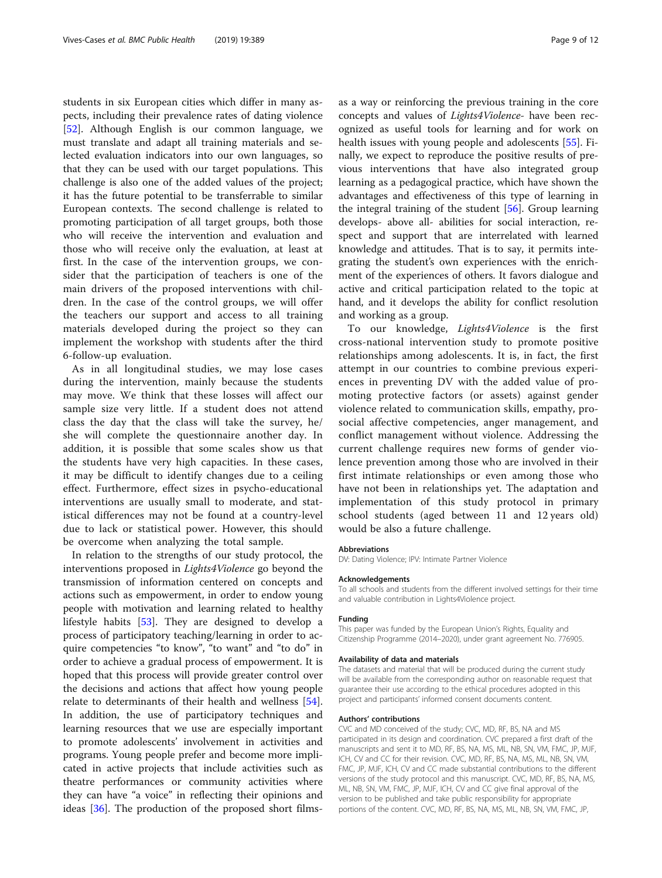students in six European cities which differ in many aspects, including their prevalence rates of dating violence [[52\]](#page-11-0). Although English is our common language, we must translate and adapt all training materials and selected evaluation indicators into our own languages, so that they can be used with our target populations. This challenge is also one of the added values of the project; it has the future potential to be transferrable to similar European contexts. The second challenge is related to promoting participation of all target groups, both those who will receive the intervention and evaluation and those who will receive only the evaluation, at least at first. In the case of the intervention groups, we consider that the participation of teachers is one of the main drivers of the proposed interventions with children. In the case of the control groups, we will offer the teachers our support and access to all training materials developed during the project so they can implement the workshop with students after the third 6-follow-up evaluation.

As in all longitudinal studies, we may lose cases during the intervention, mainly because the students may move. We think that these losses will affect our sample size very little. If a student does not attend class the day that the class will take the survey, he/ she will complete the questionnaire another day. In addition, it is possible that some scales show us that the students have very high capacities. In these cases, it may be difficult to identify changes due to a ceiling effect. Furthermore, effect sizes in psycho-educational interventions are usually small to moderate, and statistical differences may not be found at a country-level due to lack or statistical power. However, this should be overcome when analyzing the total sample.

In relation to the strengths of our study protocol, the interventions proposed in Lights4Violence go beyond the transmission of information centered on concepts and actions such as empowerment, in order to endow young people with motivation and learning related to healthy lifestyle habits [[53\]](#page-11-0). They are designed to develop a process of participatory teaching/learning in order to acquire competencies "to know", "to want" and "to do" in order to achieve a gradual process of empowerment. It is hoped that this process will provide greater control over the decisions and actions that affect how young people relate to determinants of their health and wellness [\[54](#page-11-0)]. In addition, the use of participatory techniques and learning resources that we use are especially important to promote adolescents' involvement in activities and programs. Young people prefer and become more implicated in active projects that include activities such as theatre performances or community activities where they can have "a voice" in reflecting their opinions and ideas [\[36\]](#page-11-0). The production of the proposed short filmsas a way or reinforcing the previous training in the core concepts and values of Lights4Violence- have been recognized as useful tools for learning and for work on health issues with young people and adolescents [\[55](#page-11-0)]. Finally, we expect to reproduce the positive results of previous interventions that have also integrated group learning as a pedagogical practice, which have shown the advantages and effectiveness of this type of learning in the integral training of the student [\[56](#page-11-0)]. Group learning develops- above all- abilities for social interaction, respect and support that are interrelated with learned knowledge and attitudes. That is to say, it permits integrating the student's own experiences with the enrichment of the experiences of others. It favors dialogue and active and critical participation related to the topic at hand, and it develops the ability for conflict resolution and working as a group.

To our knowledge, Lights4Violence is the first cross-national intervention study to promote positive relationships among adolescents. It is, in fact, the first attempt in our countries to combine previous experiences in preventing DV with the added value of promoting protective factors (or assets) against gender violence related to communication skills, empathy, prosocial affective competencies, anger management, and conflict management without violence. Addressing the current challenge requires new forms of gender violence prevention among those who are involved in their first intimate relationships or even among those who have not been in relationships yet. The adaptation and implementation of this study protocol in primary school students (aged between 11 and 12 years old) would be also a future challenge.

#### Abbreviations

DV: Dating Violence; IPV: Intimate Partner Violence

#### Acknowledgements

To all schools and students from the different involved settings for their time and valuable contribution in Lights4Violence project.

#### Funding

This paper was funded by the European Union's Rights, Equality and Citizenship Programme (2014–2020), under grant agreement No. 776905.

#### Availability of data and materials

The datasets and material that will be produced during the current study will be available from the corresponding author on reasonable request that guarantee their use according to the ethical procedures adopted in this project and participants' informed consent documents content.

#### Authors' contributions

CVC and MD conceived of the study; CVC, MD, RF, BS, NA and MS participated in its design and coordination. CVC prepared a first draft of the manuscripts and sent it to MD, RF, BS, NA, MS, ML, NB, SN, VM, FMC, JP, MJF, ICH, CV and CC for their revision. CVC, MD, RF, BS, NA, MS, ML, NB, SN, VM, FMC, JP, MJF, ICH, CV and CC made substantial contributions to the different versions of the study protocol and this manuscript. CVC, MD, RF, BS, NA, MS, ML, NB, SN, VM, FMC, JP, MJF, ICH, CV and CC give final approval of the version to be published and take public responsibility for appropriate portions of the content. CVC, MD, RF, BS, NA, MS, ML, NB, SN, VM, FMC, JP,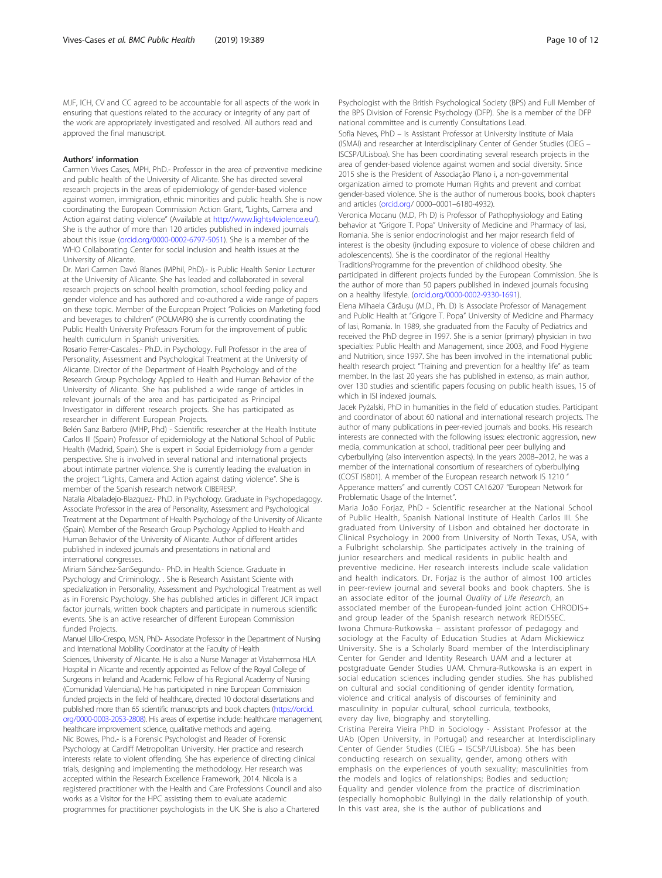MJF, ICH, CV and CC agreed to be accountable for all aspects of the work in ensuring that questions related to the accuracy or integrity of any part of the work are appropriately investigated and resolved. All authors read and approved the final manuscript.

#### Authors' information

Carmen Vives Cases, MPH, PhD.- Professor in the area of preventive medicine and public health of the University of Alicante. She has directed several research projects in the areas of epidemiology of gender-based violence against women, immigration, ethnic minorities and public health. She is now coordinating the European Commission Action Grant, "Lights, Camera and Action against dating violence" (Available at <http://www.lights4violence.eu/>). She is the author of more than 120 articles published in indexed journals about this issue [\(orcid.org/0000-0002-6797-5051](http://orcid.org/0000-0002-6797-5051)). She is a member of the WHO Collaborating Center for social inclusion and health issues at the University of Alicante.

Dr. Mari Carmen Davó Blanes (MPhil, PhD).- is Public Health Senior Lecturer at the University of Alicante. She has leaded and collaborated in several research projects on school health promotion, school feeding policy and gender violence and has authored and co-authored a wide range of papers on these topic. Member of the European Project "Policies on Marketing food and beverages to children" (POLMARK) she is currently coordinating the Public Health University Professors Forum for the improvement of public health curriculum in Spanish universities.

Rosario Ferrer-Cascales.- Ph.D. in Psychology. Full Professor in the area of Personality, Assessment and Psychological Treatment at the University of Alicante. Director of the Department of Health Psychology and of the Research Group Psychology Applied to Health and Human Behavior of the University of Alicante. She has published a wide range of articles in relevant journals of the area and has participated as Principal Investigator in different research projects. She has participated as researcher in different European Projects.

Belén Sanz Barbero (MHP, Phd) - Scientific researcher at the Health Institute Carlos III (Spain) Professor of epidemiology at the National School of Public Health (Madrid, Spain). She is expert in Social Epidemiology from a gender perspective. She is involved in several national and international projects about intimate partner violence. She is currently leading the evaluation in the project "Lights, Camera and Action against dating violence". She is member of the Spanish research network CIBERESP.

Natalia Albaladejo-Blazquez.- Ph.D. in Psychology. Graduate in Psychopedagogy. Associate Professor in the area of Personality, Assessment and Psychological Treatment at the Department of Health Psychology of the University of Alicante (Spain). Member of the Research Group Psychology Applied to Health and Human Behavior of the University of Alicante. Author of different articles published in indexed journals and presentations in national and international congresses.

Miriam Sánchez-SanSegundo.- PhD. in Health Science. Graduate in Psychology and Criminology. . She is Research Assistant Sciente with specialization in Personality, Assessment and Psychological Treatment as well as in Forensic Psychology. She has published articles in different JCR impact factor journals, written book chapters and participate in numerous scientific events. She is an active researcher of different European Commission funded Projects.

Manuel Lillo-Crespo, MSN, PhD- Associate Professor in the Department of Nursing and International Mobility Coordinator at the Faculty of Health Sciences, University of Alicante. He is also a Nurse Manager at Vistahermosa HLA Hospital in Alicante and recently appointed as Fellow of the Royal College of Surgeons in Ireland and Academic Fellow of his Regional Academy of Nursing (Comunidad Valenciana). He has participated in nine European Commission funded projects in the field of healthcare, directed 10 doctoral dissertations and published more than 65 scientific manuscripts and book chapters ([https://orcid.](https://orcid.org/0000-0003-2053-2808) [org/0000-0003-2053-2808](https://orcid.org/0000-0003-2053-2808)). His areas of expertise include: healthcare management, healthcare improvement science, qualitative methods and ageing. Nic Bowes, Phd.- is a Forensic Psychologist and Reader of Forensic Psychology at Cardiff Metropolitan University. Her practice and research interests relate to violent offending. She has experience of directing clinical trials, designing and implementing the methodology. Her research was accepted within the Research Excellence Framework, 2014. Nicola is a registered practitioner with the Health and Care Professions Council and also works as a Visitor for the HPC assisting them to evaluate academic programmes for practitioner psychologists in the UK. She is also a Chartered

Psychologist with the British Psychological Society (BPS) and Full Member of the BPS Division of Forensic Psychology (DFP). She is a member of the DFP national committee and is currently Consultations Lead.

Sofia Neves, PhD – is Assistant Professor at University Institute of Maia (ISMAI) and researcher at Interdisciplinary Center of Gender Studies (CIEG – ISCSP/ULisboa). She has been coordinating several research projects in the area of gender-based violence against women and social diversity. Since 2015 she is the President of Associação Plano i, a non-governmental organization aimed to promote Human Rights and prevent and combat gender-based violence. She is the author of numerous books, book chapters and articles [\(orcid.org/](http://orcid.org) 0000–0001–6180-4932).

Veronica Mocanu (M.D, Ph D) is Professor of Pathophysiology and Eating behavior at "Grigore T. Popa" University of Medicine and Pharmacy of Iasi, Romania. She is senior endocrinologist and her major research field of interest is the obesity (including exposure to violence of obese children and adolescencents). She is the coordinator of the regional Healthy TraditionsProgramme for the prevention of childhood obesity. She participated in different projects funded by the European Commission. She is the author of more than 50 papers published in indexed journals focusing on a healthy lifestyle. [\(orcid.org/0000-0002-9330-1691\)](http://orcid.org/0000-0002-9330-1691).

Elena Mihaela Cărăușu (M.D., Ph. D) is Associate Professor of Management and Public Health at "Grigore T. Popa" University of Medicine and Pharmacy of Iasi, Romania. In 1989, she graduated from the Faculty of Pediatrics and received the PhD degree in 1997. She is a senior (primary) physician in two specialties: Public Health and Management, since 2003, and Food Hygiene and Nutrition, since 1997. She has been involved in the international public health research project "Training and prevention for a healthy life" as team member. In the last 20 years she has published in extenso, as main author, over 130 studies and scientific papers focusing on public health issues, 15 of which in ISI indexed journals.

Jacek Pyżalski, PhD in humanities in the field of education studies. Participant and coordinator of about 60 national and international research projects. The author of many publications in peer-revied journals and books. His research interests are connected with the following issues: electronic aggression, new media, communication at school, traditional peer peer bullying and cyberbullying (also intervention aspects). In the years 2008–2012, he was a member of the international consortium of researchers of cyberbullying (COST IS801). A member of the European research network IS 1210 " Apperance matters" and currently COST CA16207 "European Network for Problematic Usage of the Internet".

Maria João Forjaz, PhD - Scientific researcher at the National School of Public Health, Spanish National Institute of Health Carlos III. She graduated from University of Lisbon and obtained her doctorate in Clinical Psychology in 2000 from University of North Texas, USA, with a Fulbright scholarship. She participates actively in the training of junior researchers and medical residents in public health and preventive medicine. Her research interests include scale validation and health indicators. Dr. Forjaz is the author of almost 100 articles in peer-review journal and several books and book chapters. She is an associate editor of the journal Quality of Life Research, an associated member of the European-funded joint action CHRODIS+ and group leader of the Spanish research network REDISSEC. Iwona Chmura-Rutkowska – assistant professor of pedagogy and sociology at the Faculty of Education Studies at Adam Mickiewicz University. She is a Scholarly Board member of the Interdisciplinary Center for Gender and Identity Research UAM and a lecturer at postgraduate Gender Studies UAM. Chmura-Rutkowska is an expert in social education sciences including gender studies. She has published on cultural and social conditioning of gender identity formation, violence and critical analysis of discourses of femininity and masculinity in popular cultural, school curricula, textbooks, every day live, biography and storytelling.

Cristina Pereira Vieira PhD in Sociology - Assistant Professor at the UAb (Open University, in Portugal) and researcher at Interdisciplinary Center of Gender Studies (CIEG – ISCSP/ULisboa). She has been conducting research on sexuality, gender, among others with emphasis on the experiences of youth sexuality; masculinities from the models and logics of relationships; Bodies and seduction; Equality and gender violence from the practice of discrimination (especially homophobic Bullying) in the daily relationship of youth. In this vast area, she is the author of publications and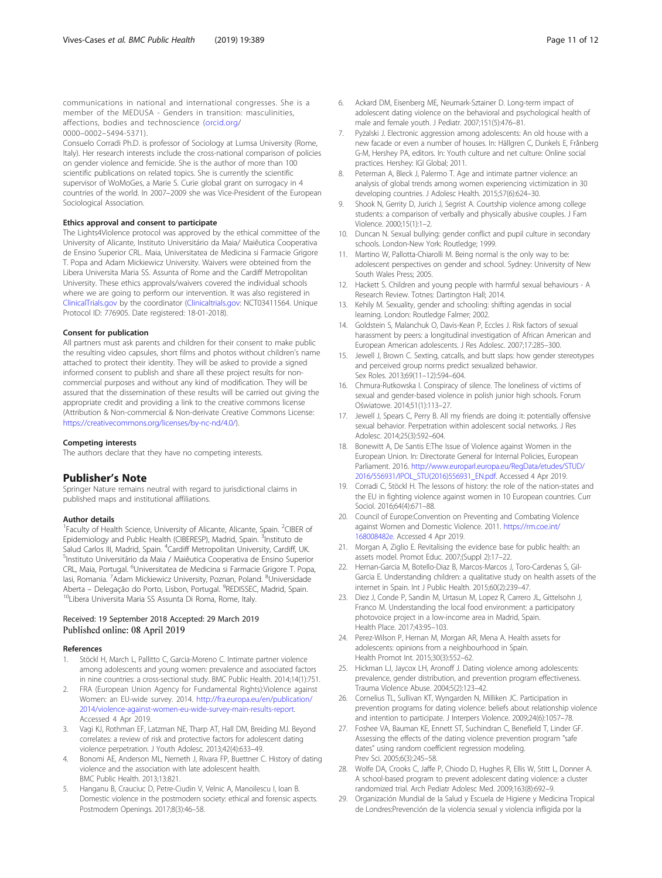<span id="page-10-0"></span>communications in national and international congresses. She is a member of the MEDUSA - Genders in transition: masculinities, affections, bodies and technoscience ([orcid.org](http://orcid.org)/ 0000–0002–5494-5371).

Consuelo Corradi Ph.D. is professor of Sociology at Lumsa University (Rome, Italy). Her research interests include the cross-national comparison of policies on gender violence and femicide. She is the author of more than 100 scientific publications on related topics. She is currently the scientific supervisor of WoMoGes, a Marie S. Curie global grant on surrogacy in 4 countries of the world. In 2007–2009 she was Vice-President of the European Sociological Association.

#### Ethics approval and consent to participate

The Lights4Violence protocol was approved by the ethical committee of the University of Alicante, Instituto Universitário da Maia/ Maiêutica Cooperativa de Ensino Superior CRL. Maia, Universitatea de Medicina si Farmacie Grigore T. Popa and Adam Mickiewicz University. Waivers were obteined from the Libera Universita Maria SS. Assunta of Rome and the Cardiff Metropolitan University. These ethics approvals/waivers covered the individual schools where we are going to perform our intervention. It was also registered in [ClinicalTrials.gov](http://clinicaltrials.gov) by the coordinator [\(Clinicaltrials.gov:](http://clinicaltrials.gov) NCT03411564. Unique Protocol ID: 776905. Date registered: 18-01-2018).

#### Consent for publication

All partners must ask parents and children for their consent to make public the resulting video capsules, short films and photos without children's name attached to protect their identity. They will be asked to provide a signed informed consent to publish and share all these project results for noncommercial purposes and without any kind of modification. They will be assured that the dissemination of these results will be carried out giving the appropriate credit and providing a link to the creative commons license (Attribution & Non-commercial & Non-derivate Creative Commons License: <https://creativecommons.org/licenses/by-nc-nd/4.0/>).

#### Competing interests

The authors declare that they have no competing interests.

# Publisher's Note

Springer Nature remains neutral with regard to jurisdictional claims in published maps and institutional affiliations.

#### Author details

<sup>1</sup> Faculty of Health Science, University of Alicante, Alicante, Spain. <sup>2</sup>CIBER of Epidemiology and Public Health (CIBERESP), Madrid, Spain. <sup>3</sup>Instituto de Salud Carlos III, Madrid, Spain. <sup>4</sup>Cardiff Metropolitan University, Cardiff, UK.<br><sup>5</sup>Institute Universitátio da Maia *(* Maiâutica Cooperativa de Ensino Superio <sup>5</sup>Instituto Universitário da Maia / Maiêutica Cooperativa de Ensino Superior CRL, Maia, Portugal. <sup>6</sup>Universitatea de Medicina si Farmacie Grigore T. Popa, lasi, Romania. <sup>7</sup>Adam Mickiewicz University, Poznan, Poland. <sup>8</sup>Universidade Aberta – Delegação do Porto, Lisbon, Portugal. <sup>9</sup>REDISSEC, Madrid, Spain.<br><sup>10</sup>Libera Universita Maria SS Assunta Di Roma, Rome, Italy.

# Received: 19 September 2018 Accepted: 29 March 2019 Published online: 08 April 2019

#### References

- 1. Stöckl H, March L, Pallitto C, Garcia-Moreno C. Intimate partner violence among adolescents and young women: prevalence and associated factors in nine countries: a cross-sectional study. BMC Public Health. 2014;14(1):751.
- 2. FRA (European Union Agency for Fundamental Rights):Violence against Women: an EU-wide survey. 2014. [http://fra.europa.eu/en/publication/](http://fra.europa.eu/en/publication/2014/violence-against-women-eu-wide-survey-main-results-report) [2014/violence-against-women-eu-wide-survey-main-results-report.](http://fra.europa.eu/en/publication/2014/violence-against-women-eu-wide-survey-main-results-report) Accessed 4 Apr 2019.
- 3. Vagi KJ, Rothman EF, Latzman NE, Tharp AT, Hall DM, Breiding MJ. Beyond correlates: a review of risk and protective factors for adolescent dating violence perpetration. J Youth Adolesc. 2013;42(4):633–49.
- 4. Bonomi AE, Anderson ML, Nemeth J, Rivara FP, Buettner C. History of dating violence and the association with late adolescent health. BMC Public Health. 2013;13:821.
- 5. Hanganu B, Crauciuc D, Petre-Ciudin V, Velnic A, Manoilescu I, Ioan B. Domestic violence in the postmodern society: ethical and forensic aspects. Postmodern Openings. 2017;8(3):46–58.
- 6. Ackard DM, Eisenberg ME, Neumark-Sztainer D. Long-term impact of adolescent dating violence on the behavioral and psychological health of male and female youth. J Pediatr. 2007;151(5):476–81.
- Pyżalski J. Electronic aggression among adolescents: An old house with a new facade or even a number of houses. In: Hällgren C, Dunkels E, Frånberg G-M, Hershey PA, editors. In: Youth culture and net culture: Online social practices. Hershey: IGI Global; 2011.
- 8. Peterman A, Bleck J, Palermo T. Age and intimate partner violence: an analysis of global trends among women experiencing victimization in 30 developing countries. J Adolesc Health. 2015;57(6):624–30.
- 9. Shook N, Gerrity D, Jurich J, Segrist A. Courtship violence among college students: a comparison of verbally and physically abusive couples. J Fam Violence. 2000;15(1):1–2.
- 10. Duncan N. Sexual bullying: gender conflict and pupil culture in secondary schools. London-New York: Routledge; 1999.
- 11. Martino W, Pallotta-Chiarolli M. Being normal is the only way to be: adolescent perspectives on gender and school. Sydney: University of New South Wales Press; 2005.
- 12. Hackett S. Children and young people with harmful sexual behaviours A Research Review. Totnes: Dartington Hall; 2014.
- 13. Kehily M. Sexuality, gender and schooling: shifting agendas in social learning. London: Routledge Falmer; 2002.
- 14. Goldstein S, Malanchuk O, Davis-Kean P, Eccles J. Risk factors of sexual harassment by peers: a longitudinal investigation of African American and European American adolescents. J Res Adolesc. 2007;17:285–300.
- 15. Jewell J, Brown C. Sexting, catcalls, and butt slaps: how gender stereotypes and perceived group norms predict sexualized behawior. Sex Roles. 2013;69(11–12):594–604.
- 16. Chmura-Rutkowska I. Conspiracy of silence. The loneliness of victims of sexual and gender-based violence in polish junior high schools. Forum Oświatowe. 2014;51(1):113–27.
- 17. Jewell J, Spears C, Perry B. All my friends are doing it: potentially offensive sexual behavior. Perpetration within adolescent social networks. J Res Adolesc. 2014;25(3):592–604.
- 18. Bonewitt A, De Santis E:The Issue of Violence against Women in the European Union. In: Directorate General for Internal Policies, European Parliament. 2016. [http://www.europarl.europa.eu/RegData/etudes/STUD/](http://www.europarl.europa.eu/RegData/etudes/STUD/2016/556931/IPOL_STU(2016)556931_EN.pdf) [2016/556931/IPOL\\_STU\(2016\)556931\\_EN.pdf](http://www.europarl.europa.eu/RegData/etudes/STUD/2016/556931/IPOL_STU(2016)556931_EN.pdf). Accessed 4 Apr 2019.
- 19. Corradi C, Stöckl H. The lessons of history: the role of the nation-states and the EU in fighting violence against women in 10 European countries. Curr Sociol. 2016;64(4):671–88.
- 20. Council of Europe:Convention on Preventing and Combating Violence against Women and Domestic Violence. 2011. [https://rm.coe.int/](https://rm.coe.int/168008482e) [168008482e.](https://rm.coe.int/168008482e) Accessed 4 Apr 2019.
- 21. Morgan A, Ziglio E. Revitalising the evidence base for public health: an assets model. Promot Educ. 2007;(Suppl 2):17–22.
- 22. Hernan-Garcia M, Botello-Diaz B, Marcos-Marcos J, Toro-Cardenas S, Gil-Garcia E. Understanding children: a qualitative study on health assets of the internet in Spain. Int J Public Health. 2015;60(2):239–47.
- 23. Diez J, Conde P, Sandin M, Urtasun M, Lopez R, Carrero JL, Gittelsohn J, Franco M. Understanding the local food environment: a participatory photovoice project in a low-income area in Madrid, Spain. Health Place. 2017;43:95–103.
- 24. Perez-Wilson P, Hernan M, Morgan AR, Mena A. Health assets for adolescents: opinions from a neighbourhood in Spain. Health Promot Int. 2015;30(3):552–62.
- 25. Hickman LJ, Jaycox LH, Aronoff J. Dating violence among adolescents: prevalence, gender distribution, and prevention program effectiveness. Trauma Violence Abuse. 2004;5(2):123–42.
- 26. Cornelius TL, Sullivan KT, Wyngarden N, Milliken JC. Participation in prevention programs for dating violence: beliefs about relationship violence and intention to participate. J Interpers Violence. 2009;24(6):1057–78.
- 27. Foshee VA, Bauman KE, Ennett ST, Suchindran C, Benefield T, Linder GF. Assessing the effects of the dating violence prevention program "safe dates" using random coefficient regression modeling. Prev Sci. 2005;6(3):245–58.
- 28. Wolfe DA, Crooks C, Jaffe P, Chiodo D, Hughes R, Ellis W, Stitt L, Donner A. A school-based program to prevent adolescent dating violence: a cluster randomized trial. Arch Pediatr Adolesc Med. 2009;163(8):692–9.
- 29. Organización Mundial de la Salud y Escuela de Higiene y Medicina Tropical de Londres:Prevención de la violencia sexual y violencia infligida por la